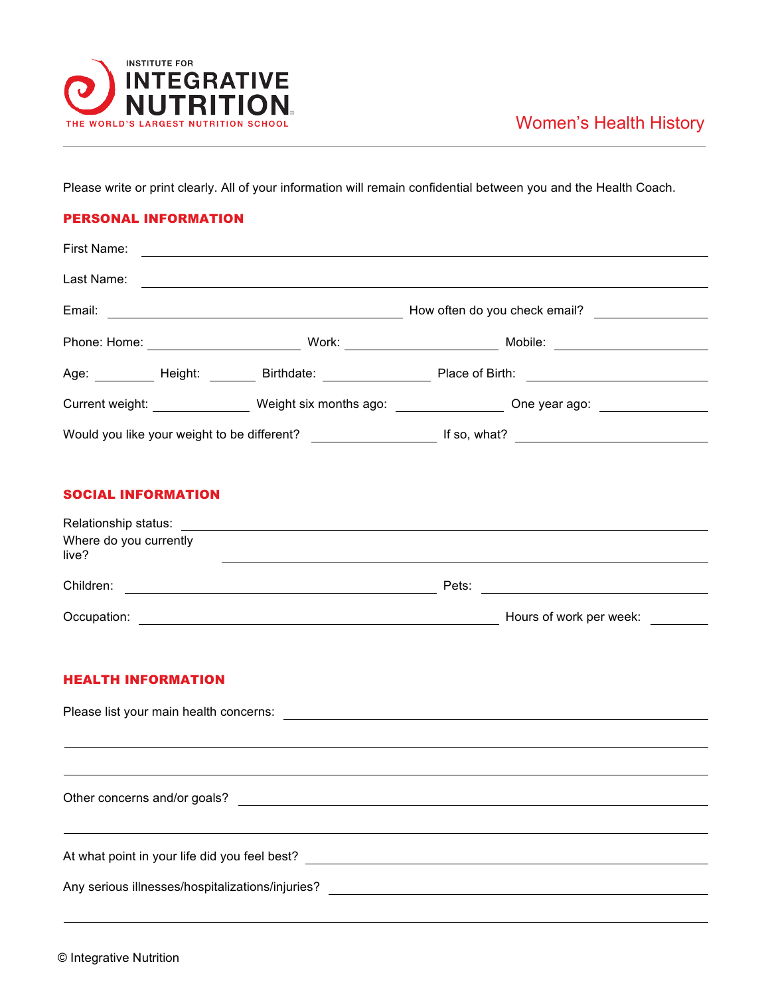

Please write or print clearly. All of your information will remain confidential between you and the Health Coach.

## PERSONAL INFORMATION

|                                 |                                                                                                                                                                                                                                |  | Age: __________ Height: ________ Birthdate: ___________________ Place of Birth: ______________________________ |  |
|---------------------------------|--------------------------------------------------------------------------------------------------------------------------------------------------------------------------------------------------------------------------------|--|----------------------------------------------------------------------------------------------------------------|--|
|                                 |                                                                                                                                                                                                                                |  | Current weight: __________________ Weight six months ago: _________________ One year ago: ________________     |  |
|                                 |                                                                                                                                                                                                                                |  |                                                                                                                |  |
| <b>SOCIAL INFORMATION</b>       |                                                                                                                                                                                                                                |  |                                                                                                                |  |
|                                 |                                                                                                                                                                                                                                |  |                                                                                                                |  |
| Where do you currently<br>live? | <u> Andreas Andreas Andreas Andreas Andreas Andreas Andreas Andreas Andreas Andreas Andreas Andreas Andreas Andr</u>                                                                                                           |  |                                                                                                                |  |
|                                 |                                                                                                                                                                                                                                |  |                                                                                                                |  |
|                                 |                                                                                                                                                                                                                                |  |                                                                                                                |  |
| <b>HEALTH INFORMATION</b>       |                                                                                                                                                                                                                                |  |                                                                                                                |  |
|                                 | Please list your main health concerns: example of the state of the state of the state of the state of the state of the state of the state of the state of the state of the state of the state of the state of the state of the |  |                                                                                                                |  |
|                                 |                                                                                                                                                                                                                                |  |                                                                                                                |  |
|                                 |                                                                                                                                                                                                                                |  |                                                                                                                |  |
|                                 |                                                                                                                                                                                                                                |  |                                                                                                                |  |
|                                 | At what point in your life did you feel best?<br><u> and a set of the set of the set of the set of the set of the set of the set of the set of the set of the set o</u>                                                        |  |                                                                                                                |  |

Any serious illnesses/hospitalizations/injuries?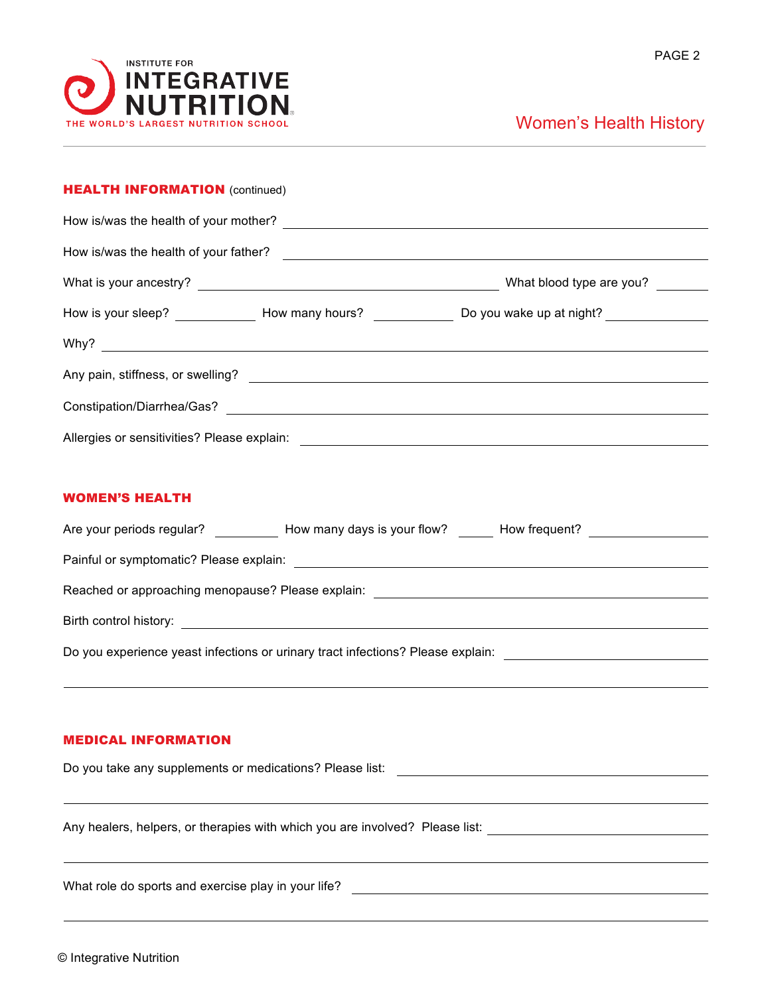

## Women's Health History

| <b>HEALTH INFORMATION (continued)</b>                                                                                                                                                               |                                       |                                                                                                                |  |  |  |  |  |  |  |
|-----------------------------------------------------------------------------------------------------------------------------------------------------------------------------------------------------|---------------------------------------|----------------------------------------------------------------------------------------------------------------|--|--|--|--|--|--|--|
|                                                                                                                                                                                                     |                                       |                                                                                                                |  |  |  |  |  |  |  |
|                                                                                                                                                                                                     | How is/was the health of your father? |                                                                                                                |  |  |  |  |  |  |  |
|                                                                                                                                                                                                     |                                       |                                                                                                                |  |  |  |  |  |  |  |
|                                                                                                                                                                                                     |                                       | How is your sleep? ______________ How many hours? ______________ Do you wake up at night? _______________      |  |  |  |  |  |  |  |
|                                                                                                                                                                                                     |                                       |                                                                                                                |  |  |  |  |  |  |  |
|                                                                                                                                                                                                     |                                       |                                                                                                                |  |  |  |  |  |  |  |
|                                                                                                                                                                                                     |                                       |                                                                                                                |  |  |  |  |  |  |  |
|                                                                                                                                                                                                     |                                       |                                                                                                                |  |  |  |  |  |  |  |
| <b>WOMEN'S HEALTH</b>                                                                                                                                                                               |                                       |                                                                                                                |  |  |  |  |  |  |  |
|                                                                                                                                                                                                     |                                       | Are your periods regular? ____________ How many days is your flow? ______ How frequent? __________________     |  |  |  |  |  |  |  |
|                                                                                                                                                                                                     |                                       |                                                                                                                |  |  |  |  |  |  |  |
|                                                                                                                                                                                                     |                                       |                                                                                                                |  |  |  |  |  |  |  |
|                                                                                                                                                                                                     |                                       |                                                                                                                |  |  |  |  |  |  |  |
|                                                                                                                                                                                                     |                                       | Do you experience yeast infections or urinary tract infections? Please explain: ______________________________ |  |  |  |  |  |  |  |
|                                                                                                                                                                                                     |                                       |                                                                                                                |  |  |  |  |  |  |  |
| <b>MEDICAL INFORMATION</b>                                                                                                                                                                          |                                       |                                                                                                                |  |  |  |  |  |  |  |
|                                                                                                                                                                                                     |                                       |                                                                                                                |  |  |  |  |  |  |  |
| ,我们也不会有一个人的人,我们也不会有一个人的人,我们也不会有一个人的人,我们也不会有一个人的人,我们也不会有一个人的人。""我们的人,我们也不会有一个人的人,我<br>Any healers, helpers, or therapies with which you are involved? Please list: _________________________________ |                                       |                                                                                                                |  |  |  |  |  |  |  |
|                                                                                                                                                                                                     |                                       |                                                                                                                |  |  |  |  |  |  |  |

What role do sports and exercise play in your life?